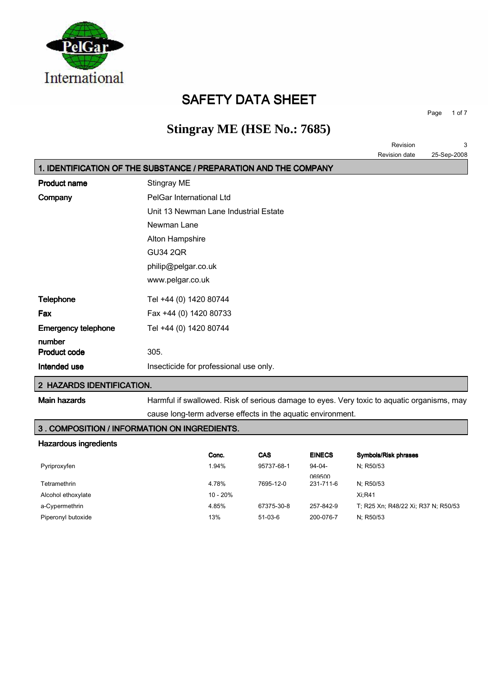

## SAFETY DATA SHEET

Page 1 of 7

## **Stingray ME (HSE No.: 7685)**

|                            |                                                                  | Revision      | 3           |
|----------------------------|------------------------------------------------------------------|---------------|-------------|
|                            |                                                                  | Revision date | 25-Sep-2008 |
|                            | 1. IDENTIFICATION OF THE SUBSTANCE / PREPARATION AND THE COMPANY |               |             |
| <b>Product name</b>        | Stingray ME                                                      |               |             |
| Company                    | PelGar International Ltd                                         |               |             |
|                            | Unit 13 Newman Lane Industrial Estate                            |               |             |
|                            | Newman Lane                                                      |               |             |
|                            | Alton Hampshire                                                  |               |             |
|                            | <b>GU34 2QR</b>                                                  |               |             |
|                            | philip@pelgar.co.uk                                              |               |             |
|                            | www.pelgar.co.uk                                                 |               |             |
| <b>Telephone</b>           | Tel +44 (0) 1420 80744                                           |               |             |
| Fax                        | Fax +44 (0) 1420 80733                                           |               |             |
| <b>Emergency telephone</b> | Tel +44 (0) 1420 80744                                           |               |             |
| number                     |                                                                  |               |             |
| <b>Product code</b>        | 305.                                                             |               |             |
| Intended use               | Insecticide for professional use only.                           |               |             |
| $\cdots$                   |                                                                  |               |             |

#### 2 HAZARDS IDENTIFICATION.

Main hazards **Harmful if swallowed. Risk of serious damage to eyes. Very toxic to aquatic organisms, may** cause long-term adverse effects in the aquatic environment.

3 . COMPOSITION / INFORMATION ON INGREDIENTS.

## Hazardous ingredients

| <u>I IAZAI UVUS II IYI GUIGI ILS</u> |            |            |               |                                     |
|--------------------------------------|------------|------------|---------------|-------------------------------------|
|                                      | Conc.      | <b>CAS</b> | <b>EINECS</b> | Symbols/Risk phrases                |
| Pyriproxyfen                         | 1.94%      | 95737-68-1 | $94-04-$      | N: R50/53                           |
|                                      |            |            | 069500        |                                     |
| Tetramethrin                         | 4.78%      | 7695-12-0  | 231-711-6     | N: R50/53                           |
| Alcohol ethoxylate                   | $10 - 20%$ |            |               | $Xi:$ R41                           |
| a-Cypermethrin                       | 4.85%      | 67375-30-8 | 257-842-9     | T: R25 Xn: R48/22 Xi: R37 N: R50/53 |
| Piperonyl butoxide                   | 13%        | $51-03-6$  | 200-076-7     | N: R50/53                           |
|                                      |            |            |               |                                     |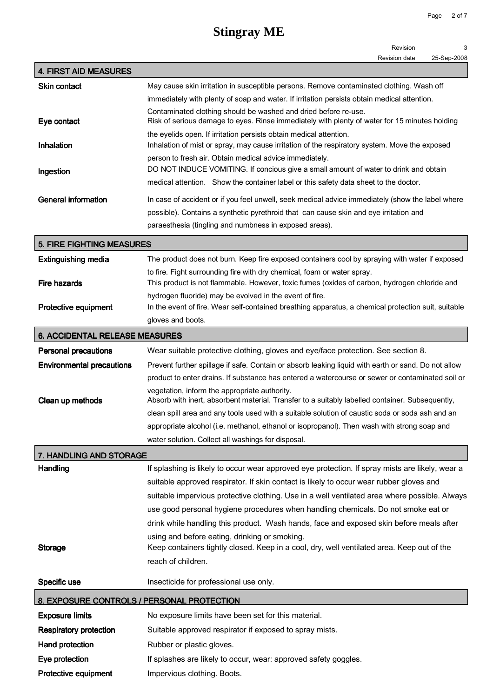|                                                                                                                             | Page<br>2 of 7                                                                                                                                                               |  |  |
|-----------------------------------------------------------------------------------------------------------------------------|------------------------------------------------------------------------------------------------------------------------------------------------------------------------------|--|--|
|                                                                                                                             | <b>Stingray ME</b>                                                                                                                                                           |  |  |
|                                                                                                                             | Revision<br>3                                                                                                                                                                |  |  |
|                                                                                                                             | Revision date<br>25-Sep-2008                                                                                                                                                 |  |  |
| <b>4. FIRST AID MEASURES</b>                                                                                                |                                                                                                                                                                              |  |  |
| <b>Skin contact</b>                                                                                                         | May cause skin irritation in susceptible persons. Remove contaminated clothing. Wash off                                                                                     |  |  |
|                                                                                                                             | immediately with plenty of soap and water. If irritation persists obtain medical attention.                                                                                  |  |  |
| Eye contact                                                                                                                 | Contaminated clothing should be washed and dried before re-use.<br>Risk of serious damage to eyes. Rinse immediately with plenty of water for 15 minutes holding             |  |  |
|                                                                                                                             | the eyelids open. If irritation persists obtain medical attention.                                                                                                           |  |  |
| Inhalation                                                                                                                  | Inhalation of mist or spray, may cause irritation of the respiratory system. Move the exposed                                                                                |  |  |
|                                                                                                                             | person to fresh air. Obtain medical advice immediately.                                                                                                                      |  |  |
| Ingestion                                                                                                                   | DO NOT INDUCE VOMITING. If concious give a small amount of water to drink and obtain<br>medical attention. Show the container label or this safety data sheet to the doctor. |  |  |
| <b>General information</b>                                                                                                  | In case of accident or if you feel unwell, seek medical advice immediately (show the label where                                                                             |  |  |
|                                                                                                                             | possible). Contains a synthetic pyrethroid that can cause skin and eye irritation and                                                                                        |  |  |
|                                                                                                                             | paraesthesia (tingling and numbness in exposed areas).                                                                                                                       |  |  |
| <b>5. FIRE FIGHTING MEASURES</b>                                                                                            |                                                                                                                                                                              |  |  |
| <b>Extinguishing media</b>                                                                                                  | The product does not burn. Keep fire exposed containers cool by spraying with water if exposed                                                                               |  |  |
| <b>Fire hazards</b>                                                                                                         | to fire. Fight surrounding fire with dry chemical, foam or water spray.<br>This product is not flammable. However, toxic fumes (oxides of carbon, hydrogen chloride and      |  |  |
|                                                                                                                             | hydrogen fluoride) may be evolved in the event of fire.                                                                                                                      |  |  |
| In the event of fire. Wear self-contained breathing apparatus, a chemical protection suit, suitable<br>Protective equipment |                                                                                                                                                                              |  |  |
|                                                                                                                             | gloves and boots.                                                                                                                                                            |  |  |
| <b>6. ACCIDENTAL RELEASE MEASURES</b>                                                                                       |                                                                                                                                                                              |  |  |
| <b>Personal precautions</b>                                                                                                 | Wear suitable protective clothing, gloves and eye/face protection. See section 8.                                                                                            |  |  |
| <b>Environmental precautions</b>                                                                                            | Prevent further spillage if safe. Contain or absorb leaking liquid with earth or sand. Do not allow                                                                          |  |  |
|                                                                                                                             | product to enter drains. If substance has entered a watercourse or sewer or contaminated soil or                                                                             |  |  |
| Clean up methods                                                                                                            | vegetation, inform the appropriate authority.<br>Absorb with inert, absorbent material. Transfer to a suitably labelled container. Subsequently,                             |  |  |
|                                                                                                                             | clean spill area and any tools used with a suitable solution of caustic soda or soda ash and an                                                                              |  |  |
|                                                                                                                             | appropriate alcohol (i.e. methanol, ethanol or isopropanol). Then wash with strong soap and                                                                                  |  |  |
|                                                                                                                             | water solution. Collect all washings for disposal.                                                                                                                           |  |  |
| 7. HANDLING AND STORAGE                                                                                                     |                                                                                                                                                                              |  |  |
| Handling                                                                                                                    | If splashing is likely to occur wear approved eye protection. If spray mists are likely, wear a                                                                              |  |  |
|                                                                                                                             | suitable approved respirator. If skin contact is likely to occur wear rubber gloves and                                                                                      |  |  |
|                                                                                                                             | suitable impervious protective clothing. Use in a well ventilated area where possible. Always                                                                                |  |  |
|                                                                                                                             | use good personal hygiene procedures when handling chemicals. Do not smoke eat or                                                                                            |  |  |

drink while handling this product. Wash hands, face and exposed skin before meals after using and before eating, drinking or smoking. Storage Keep containers tightly closed. Keep in a cool, dry, well ventilated area. Keep out of the

reach of children. Specific use Insecticide for professional use only.

| 8. EXPOSURE CONTROLS / PERSONAL PROTECTION |
|--------------------------------------------|
|--------------------------------------------|

| <b>Exposure limits</b>        | No exposure limits have been set for this material.             |
|-------------------------------|-----------------------------------------------------------------|
| <b>Respiratory protection</b> | Suitable approved respirator if exposed to spray mists.         |
| Hand protection               | Rubber or plastic gloves.                                       |
| Eye protection                | If splashes are likely to occur, wear: approved safety goggles. |
| Protective equipment          | Impervious clothing. Boots.                                     |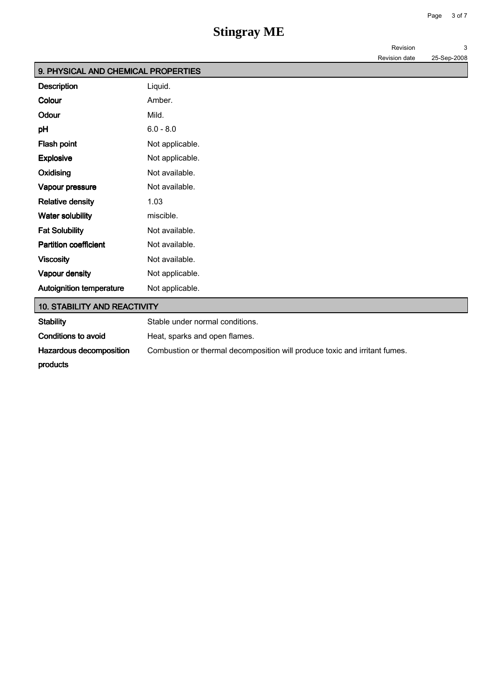| 9. PHYSICAL AND CHEMICAL PROPERTIES |                 |
|-------------------------------------|-----------------|
| <b>Description</b>                  | Liquid.         |
| Colour                              | Amber.          |
| Odour                               | Mild.           |
| pH                                  | $6.0 - 8.0$     |
| Flash point                         | Not applicable. |
| <b>Explosive</b>                    | Not applicable. |
| Oxidising                           | Not available.  |
| Vapour pressure                     | Not available.  |
| <b>Relative density</b>             | 1.03            |
| <b>Water solubility</b>             | miscible.       |
| <b>Fat Solubility</b>               | Not available.  |
| <b>Partition coefficient</b>        | Not available.  |
| <b>Viscosity</b>                    | Not available.  |
| Vapour density                      | Not applicable. |
| <b>Autoignition temperature</b>     | Not applicable. |

### 10. STABILITY AND REACTIVITY

| Stability               | Stable under normal conditions.                                            |
|-------------------------|----------------------------------------------------------------------------|
| Conditions to avoid     | Heat, sparks and open flames.                                              |
| Hazardous decomposition | Combustion or thermal decomposition will produce toxic and irritant fumes. |
| products                |                                                                            |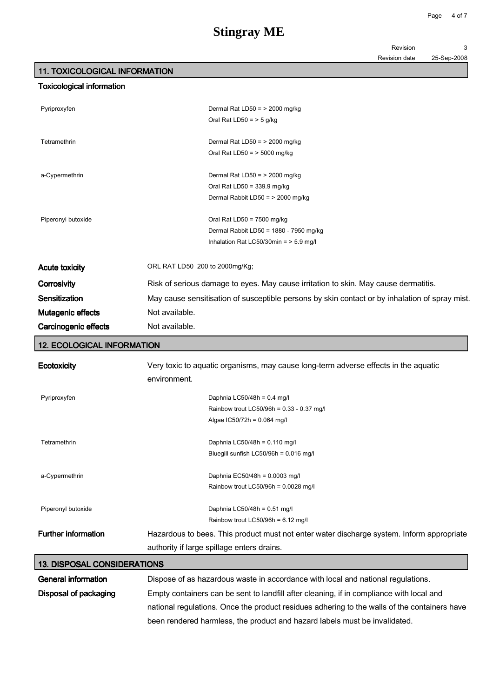| Revision |  |
|----------|--|
|          |  |

#### Revision date 25-Sep-2008

## 11. TOXICOLOGICAL INFORMATION

### Toxicological information

| Pyriproxyfen          | Dermal Rat LD50 = $>$ 2000 mg/kg<br>Oral Rat LD50 = $>$ 5 g/kg                                                     |  |
|-----------------------|--------------------------------------------------------------------------------------------------------------------|--|
| Tetramethrin          | Dermal Rat LD50 = $>$ 2000 mg/kg<br>Oral Rat LD50 = $>$ 5000 mg/kg                                                 |  |
| a-Cypermethrin        | Dermal Rat LD50 = $>$ 2000 mg/kg<br>Oral Rat LD50 = $339.9$ mg/kg<br>Dermal Rabbit LD50 = > 2000 mg/kg             |  |
| Piperonyl butoxide    | Oral Rat LD50 = $7500$ mg/kg<br>Dermal Rabbit LD50 = 1880 - 7950 mg/kg<br>Inhalation Rat LC50/30min = $>$ 5.9 mg/l |  |
| <b>Acute toxicity</b> | ORL RAT LD50 200 to 2000mg/Kg;                                                                                     |  |
| Corrosivity           | Risk of serious damage to eyes. May cause irritation to skin. May cause dermatitis.                                |  |
| Sensitization         | May cause sensitisation of susceptible persons by skin contact or by inhalation of spray mist.                     |  |
| Mutagenic effects     | Not available.                                                                                                     |  |
| Carcinogenic effects  | Not available.                                                                                                     |  |

### 12. ECOLOGICAL INFORMATION

| Ecotoxicity                | Very toxic to aquatic organisms, may cause long-term adverse effects in the aquatic<br>environment. |
|----------------------------|-----------------------------------------------------------------------------------------------------|
| Pyriproxyfen               | Daphnia LC50/48h = $0.4$ mg/l                                                                       |
|                            | Rainbow trout LC50/96h = 0.33 - 0.37 mg/l                                                           |
|                            | Algae $IC50/72h = 0.064$ mg/l                                                                       |
| Tetramethrin               | Daphnia LC50/48h = 0.110 mg/l                                                                       |
|                            | Bluegill sunfish LC50/96h = 0.016 mg/l                                                              |
| a-Cypermethrin             | Daphnia EC50/48h = 0.0003 mg/l                                                                      |
|                            | Rainbow trout LC50/96h = $0.0028$ mg/l                                                              |
| Piperonyl butoxide         | Daphnia LC50/48h = 0.51 mg/l                                                                        |
|                            | Rainbow trout LC50/96h = $6.12$ mg/l                                                                |
| <b>Further information</b> | Hazardous to bees. This product must not enter water discharge system. Inform appropriate           |
|                            | authority if large spillage enters drains.                                                          |

| 13. DISPOSAL CONSIDERATIONS |                                                                                              |
|-----------------------------|----------------------------------------------------------------------------------------------|
| General information         | Dispose of as hazardous waste in accordance with local and national regulations.             |
| Disposal of packaging       | Empty containers can be sent to landfill after cleaning, if in compliance with local and     |
|                             | national regulations. Once the product residues adhering to the walls of the containers have |
|                             | been rendered harmless, the product and hazard labels must be invalidated.                   |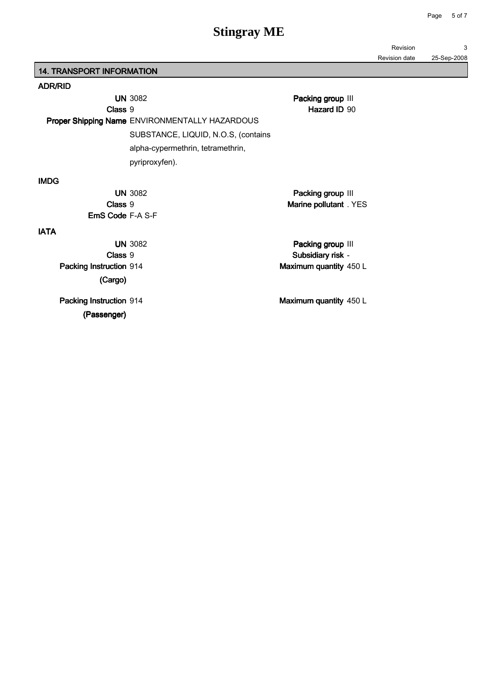Revision 3

Revision date 25-Sep-2008

14. TRANSPORT INFORMATION

### ADR/RID

| Class 9                 | <b>UN 3082</b><br><b>Proper Shipping Name ENVIRONMENTALLY HAZARDOUS</b> | Packing group III<br>Hazard ID 90 |  |
|-------------------------|-------------------------------------------------------------------------|-----------------------------------|--|
|                         | SUBSTANCE, LIQUID, N.O.S, (contains                                     |                                   |  |
|                         | alpha-cypermethrin, tetramethrin,                                       |                                   |  |
|                         | pyriproxyfen).                                                          |                                   |  |
| <b>IMDG</b>             |                                                                         |                                   |  |
|                         | <b>UN 3082</b>                                                          | Packing group III                 |  |
| Class 9                 |                                                                         | Marine pollutant . YES            |  |
| <b>EmS Code F-A S-F</b> |                                                                         |                                   |  |
| <b>IATA</b>             |                                                                         |                                   |  |
|                         | <b>UN 3082</b>                                                          | Packing group III                 |  |
| Class 9                 |                                                                         | Subsidiary risk -                 |  |
| Packing Instruction 914 |                                                                         | Maximum quantity 450 L            |  |
| (Cargo)                 |                                                                         |                                   |  |
| Packing Instruction 914 |                                                                         | Maximum quantity 450 L            |  |
| (Passenger)             |                                                                         |                                   |  |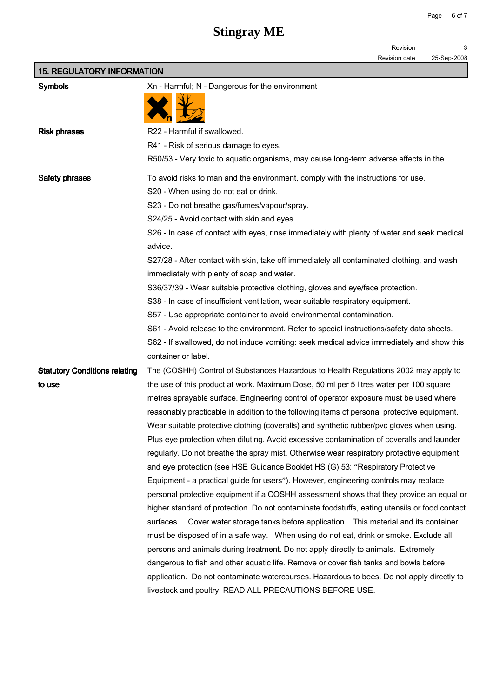Revision 3

Revision date 25-Sep-2008

| <b>15. REGULATORY INFORMATION</b>    |                                                                                                                  |  |  |
|--------------------------------------|------------------------------------------------------------------------------------------------------------------|--|--|
| <b>Symbols</b>                       | Xn - Harmful; N - Dangerous for the environment                                                                  |  |  |
|                                      |                                                                                                                  |  |  |
| <b>Risk phrases</b>                  | R22 - Harmful if swallowed.                                                                                      |  |  |
|                                      | R41 - Risk of serious damage to eyes.                                                                            |  |  |
|                                      | R50/53 - Very toxic to aquatic organisms, may cause long-term adverse effects in the                             |  |  |
| Safety phrases                       | To avoid risks to man and the environment, comply with the instructions for use.                                 |  |  |
|                                      | S20 - When using do not eat or drink.                                                                            |  |  |
|                                      | S23 - Do not breathe gas/fumes/vapour/spray.                                                                     |  |  |
|                                      | S24/25 - Avoid contact with skin and eyes.                                                                       |  |  |
|                                      | S26 - In case of contact with eyes, rinse immediately with plenty of water and seek medical                      |  |  |
|                                      | advice.                                                                                                          |  |  |
|                                      | S27/28 - After contact with skin, take off immediately all contaminated clothing, and wash                       |  |  |
|                                      | immediately with plenty of soap and water.                                                                       |  |  |
|                                      | S36/37/39 - Wear suitable protective clothing, gloves and eye/face protection.                                   |  |  |
|                                      | S38 - In case of insufficient ventilation, wear suitable respiratory equipment.                                  |  |  |
|                                      | S57 - Use appropriate container to avoid environmental contamination.                                            |  |  |
|                                      | S61 - Avoid release to the environment. Refer to special instructions/safety data sheets.                        |  |  |
|                                      | S62 - If swallowed, do not induce vomiting: seek medical advice immediately and show this<br>container or label. |  |  |
| <b>Statutory Conditions relating</b> | The (COSHH) Control of Substances Hazardous to Health Regulations 2002 may apply to                              |  |  |
| to use                               | the use of this product at work. Maximum Dose, 50 ml per 5 litres water per 100 square                           |  |  |
|                                      | metres sprayable surface. Engineering control of operator exposure must be used where                            |  |  |
|                                      | reasonably practicable in addition to the following items of personal protective equipment.                      |  |  |
|                                      | Wear suitable protective clothing (coveralls) and synthetic rubber/pvc gloves when using.                        |  |  |
|                                      | Plus eye protection when diluting. Avoid excessive contamination of coveralls and launder                        |  |  |
|                                      | regularly. Do not breathe the spray mist. Otherwise wear respiratory protective equipment                        |  |  |
|                                      | and eye protection (see HSE Guidance Booklet HS (G) 53: "Respiratory Protective                                  |  |  |
|                                      | Equipment - a practical guide for users"). However, engineering controls may replace                             |  |  |
|                                      | personal protective equipment if a COSHH assessment shows that they provide an equal or                          |  |  |
|                                      | higher standard of protection. Do not contaminate foodstuffs, eating utensils or food contact                    |  |  |
|                                      | surfaces. Cover water storage tanks before application. This material and its container                          |  |  |
|                                      | must be disposed of in a safe way. When using do not eat, drink or smoke. Exclude all                            |  |  |
|                                      | persons and animals during treatment. Do not apply directly to animals. Extremely                                |  |  |
|                                      | dangerous to fish and other aquatic life. Remove or cover fish tanks and bowls before                            |  |  |
|                                      | application. Do not contaminate watercourses. Hazardous to bees. Do not apply directly to                        |  |  |
|                                      | livestock and poultry. READ ALL PRECAUTIONS BEFORE USE.                                                          |  |  |